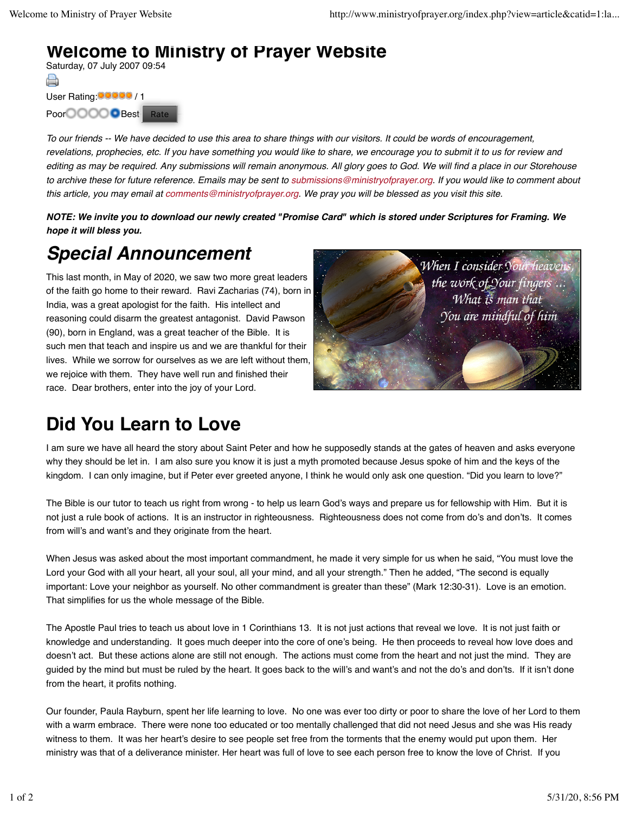## **Welcome to Ministry of Prayer Website**

Saturday, 07 July 2007 09:54 A User Rating: 00000 / 1 Poor **COOOO** Best Rate

*To our friends -- We have decided to use this area to share things with our visitors. It could be words of encouragement, revelations, prophecies, etc. If you have something you would like to share, we encourage you to submit it to us for review and editing as may be required. Any submissions will remain anonymous. All glory goes to God. We will find a place in our Storehouse to archive these for future reference. Emails may be sent to submissions@ministryofprayer.org. If you would like to comment about this article, you may email at comments@ministryofprayer.org. We pray you will be blessed as you visit this site.*

*NOTE: We invite you to download our newly created "Promise Card" which is stored under Scriptures for Framing. We hope it will bless you.*

## *Special Announcement*

This last month, in May of 2020, we saw two more great leaders of the faith go home to their reward. Ravi Zacharias (74), born in India, was a great apologist for the faith. His intellect and reasoning could disarm the greatest antagonist. David Pawson (90), born in England, was a great teacher of the Bible. It is such men that teach and inspire us and we are thankful for their lives. While we sorrow for ourselves as we are left without them, we rejoice with them. They have well run and finished their race. Dear brothers, enter into the joy of your Lord.



## **Did You Learn to Love**

I am sure we have all heard the story about Saint Peter and how he supposedly stands at the gates of heaven and asks everyone why they should be let in. I am also sure you know it is just a myth promoted because Jesus spoke of him and the keys of the kingdom. I can only imagine, but if Peter ever greeted anyone, I think he would only ask one question. "Did you learn to love?"

The Bible is our tutor to teach us right from wrong - to help us learn God's ways and prepare us for fellowship with Him. But it is not just a rule book of actions. It is an instructor in righteousness. Righteousness does not come from do's and don'ts. It comes from will's and want's and they originate from the heart.

When Jesus was asked about the most important commandment, he made it very simple for us when he said, "You must love the Lord your God with all your heart, all your soul, all your mind, and all your strength." Then he added, "The second is equally important: Love your neighbor as yourself. No other commandment is greater than these" (Mark 12:30-31). Love is an emotion. That simplifies for us the whole message of the Bible.

The Apostle Paul tries to teach us about love in 1 Corinthians 13. It is not just actions that reveal we love. It is not just faith or knowledge and understanding. It goes much deeper into the core of one's being. He then proceeds to reveal how love does and doesn't act. But these actions alone are still not enough. The actions must come from the heart and not just the mind. They are guided by the mind but must be ruled by the heart. It goes back to the will's and want's and not the do's and don'ts. If it isn't done from the heart, it profits nothing.

Our founder, Paula Rayburn, spent her life learning to love. No one was ever too dirty or poor to share the love of her Lord to them with a warm embrace. There were none too educated or too mentally challenged that did not need Jesus and she was His ready witness to them. It was her heart's desire to see people set free from the torments that the enemy would put upon them. Her ministry was that of a deliverance minister. Her heart was full of love to see each person free to know the love of Christ. If you